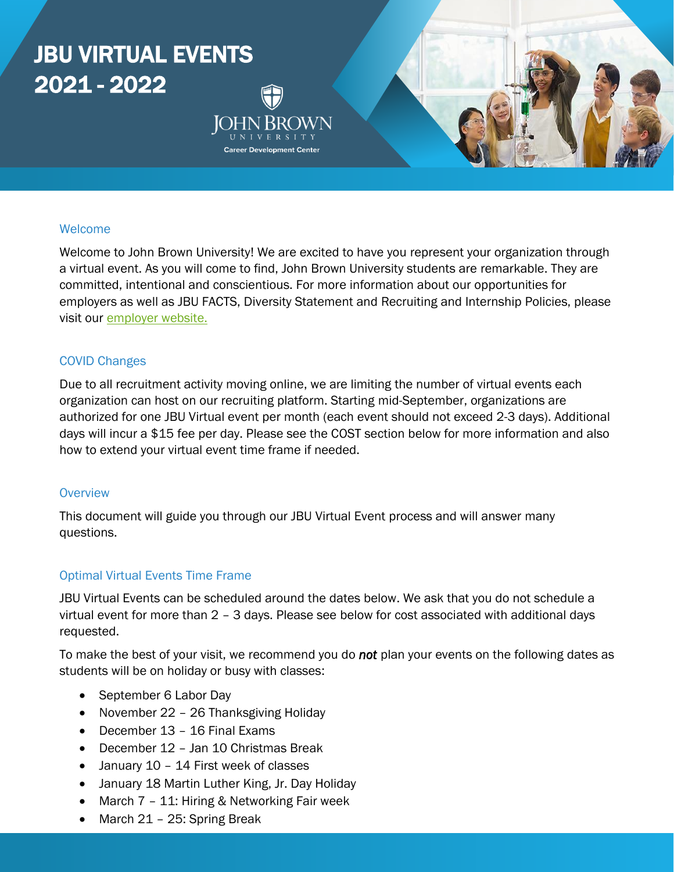# JBU VIRTUAL EVENTS 2021 - 2022 **Career Development Center**

#### Welcome

Welcome to John Brown University! We are excited to have you represent your organization through a virtual event. As you will come to find, John Brown University students are remarkable. They are committed, intentional and conscientious. For more information about our opportunities for employers as well as JBU FACTS, Diversity Statement and Recruiting and Internship Policies, please visit our [employer website.](https://www.jbu.edu/career-development/employers/)

#### COVID Changes

Due to all recruitment activity moving online, we are limiting the number of virtual events each organization can host on our recruiting platform. Starting mid-September, organizations are authorized for one JBU Virtual event per month (each event should not exceed 2-3 days). Additional days will incur a \$15 fee per day. Please see the COST section below for more information and also how to extend your virtual event time frame if needed.

#### **Overview**

This document will guide you through our JBU Virtual Event process and will answer many questions.

#### Optimal Virtual Events Time Frame

JBU Virtual Events can be scheduled around the dates below. We ask that you do not schedule a virtual event for more than 2 – 3 days. Please see below for cost associated with additional days requested.

To make the best of your visit, we recommend you do *not* plan your events on the following dates as students will be on holiday or busy with classes:

- September 6 Labor Day
- November 22 26 Thanksgiving Holiday
- December 13 16 Final Exams
- December 12 Jan 10 Christmas Break
- January 10 14 First week of classes
- January 18 Martin Luther King, Jr. Day Holiday
- March 7 11: Hiring & Networking Fair week
- March 21 25: Spring Break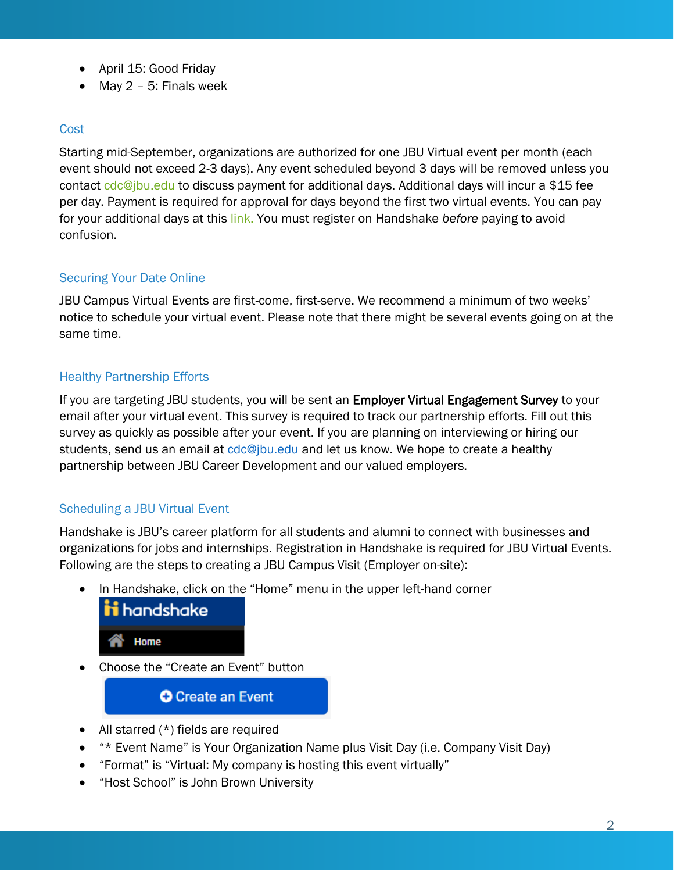- April 15: Good Friday
- May 2 5: Finals week

#### **Cost**

Starting mid-September, organizations are authorized for one JBU Virtual event per month (each event should not exceed 2-3 days). Any event scheduled beyond 3 days will be removed unless you contact [cdc@jbu.edu](mailto:cdc@jbu.edu) to discuss payment for additional days. Additional days will incur a \$15 fee per day. Payment is required for approval for days beyond the first two virtual events. You can pay for your additional days at this [link.](https://secure.touchnet.net/C22773_ustores/web/product_detail.jsp?PRODUCTID=1043&FROMQRCODE=true&SINGLESTORE=true) You must register on Handshake *before* paying to avoid confusion.

## Securing Your Date Online

JBU Campus Virtual Events are first-come, first-serve. We recommend a minimum of two weeks' notice to schedule your virtual event. Please note that there might be several events going on at the same time.

## Healthy Partnership Efforts

If you are targeting JBU students, you will be sent an Employer Virtual Engagement Survey to your email after your virtual event. This survey is required to track our partnership efforts. Fill out this survey as quickly as possible after your event. If you are planning on interviewing or hiring our students, send us an email at [cdc@jbu.edu](mailto:cdc@jbu.edu) and let us know. We hope to create a healthy partnership between JBU Career Development and our valued employers.

## Scheduling a JBU Virtual Event

Handshake is JBU's career platform for all students and alumni to connect with businesses and organizations for jobs and internships. Registration in Handshake is required for JBU Virtual Events. Following are the steps to creating a JBU Campus Visit (Employer on-site):

• In Handshake, click on the "Home" menu in the upper left-hand corner



• Choose the "Create an Event" button

**O** Create an Event

- All starred (\*) fields are required
- "\* Event Name" is Your Organization Name plus Visit Day (i.e. Company Visit Day)
- "Format" is "Virtual: My company is hosting this event virtually"
- "Host School" is John Brown University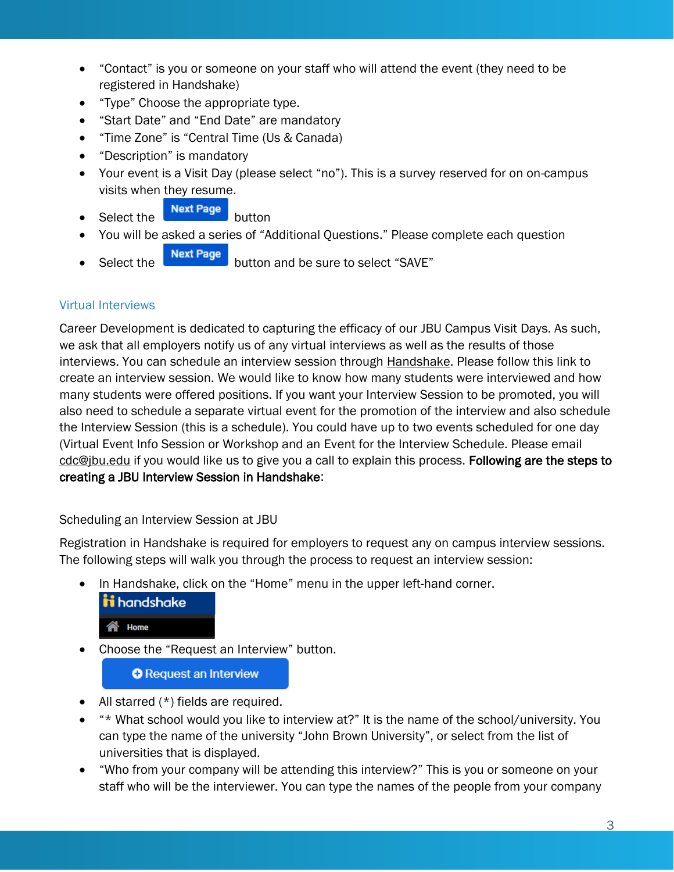- "Contact" is you or someone on your staff who will attend the event (they need to be registered in Handshake)
- "Type" Choose the appropriate type.
- "Start Date" and "End Date" are mandatory
- "Time Zone" is "Central Time (Us & Canada)
- "Description" is mandatory
- Your event is a Visit Day (please select "no"). This is a survey reserved for on on-campus visits when they resume.
- $\bullet$  Select the **Next Page** button
- You will be asked a series of "Additional Questions." Please complete each question
- **Select the butter select the select "SAVE"**

## Virtual Interviews

Career Development is dedicated to capturing the efficacy of our JBU Campus Visit Days. As such, we ask that all employers notify us of any virtual interviews as well as the results of those interviews. You can schedule an interview session through [Handshake.](https://app.joinhandshake.com/interview_schedules) Please follow this link to create an interview session. We would like to know how many students were interviewed and how many students were offered positions. If you want your Interview Session to be promoted, you will also need to schedule a separate virtual event for the promotion of the interview and also schedule the Interview Session (this is a schedule). You could have up to two events scheduled for one day (Virtual Event Info Session or Workshop and an Event for the Interview Schedule. Please email [cdc@jbu.edu](mailto:cdc@jbu.edu) if you would like us to give you a call to explain this process. Following are the steps to creating a JBU Interview Session in Handshake:

#### Scheduling an Interview Session at JBU

Registration in Handshake is required for employers to request any on campus interview sessions. The following steps will walk you through the process to request an interview session:

• In Handshake, click on the "Home" menu in the upper left-hand corner.



• Choose the "Request an Interview" button.

**O** Request an Interview

- All starred (\*) fields are required.
- "\* What school would you like to interview at?" It is the name of the school/university. You can type the name of the university "John Brown University", or select from the list of universities that is displayed.
- "Who from your company will be attending this interview?" This is you or someone on your staff who will be the interviewer. You can type the names of the people from your company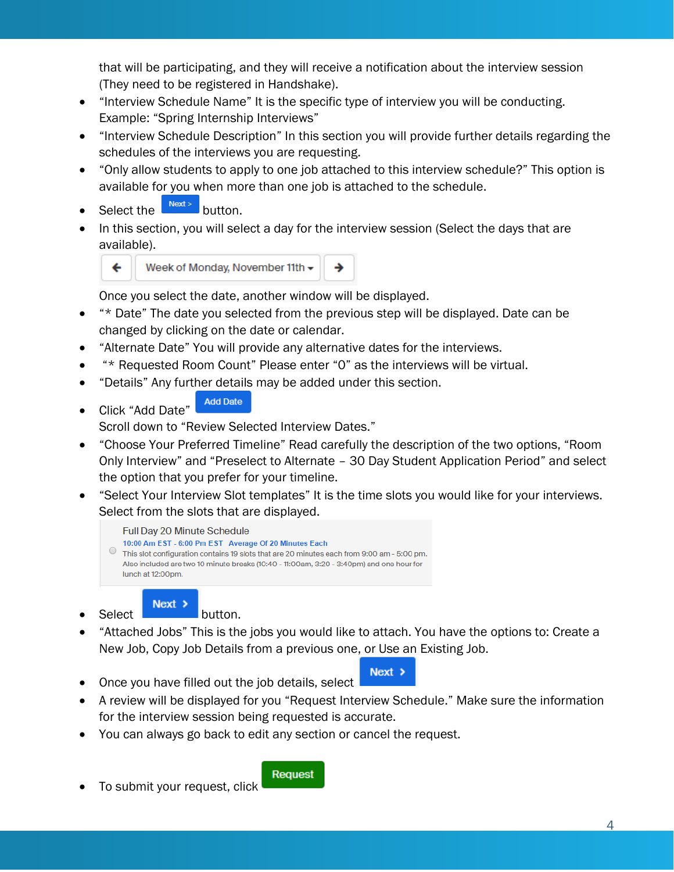that will be participating, and they will receive a notification about the interview session (They need to be registered in Handshake).

- "Interview Schedule Name" It is the specific type of interview you will be conducting. Example: "Spring Internship Interviews"
- "Interview Schedule Description" In this section you will provide further details regarding the schedules of the interviews you are requesting.
- "Only allow students to apply to one job attached to this interview schedule?" This option is available for you when more than one job is attached to the schedule.
- Select the  $\left[\frac{Next}{1}\right]$  button.
- In this section, you will select a day for the interview session (Select the days that are available).



Once you select the date, another window will be displayed.

- "\* Date" The date you selected from the previous step will be displayed. Date can be changed by clicking on the date or calendar.
- "Alternate Date" You will provide any alternative dates for the interviews.
- "\* Requested Room Count" Please enter "0" as the interviews will be virtual.
- "Details" Any further details may be added under this section.
- **Add Date** • Click "Add Date"

Scroll down to "Review Selected Interview Dates."

- "Choose Your Preferred Timeline" Read carefully the description of the two options, "Room Only Interview" and "Preselect to Alternate – 30 Day Student Application Period" and select the option that you prefer for your timeline.
- "Select Your Interview Slot templates" It is the time slots you would like for your interviews. Select from the slots that are displayed.



Select **Next >** button.

- "Attached Jobs" This is the jobs you would like to attach. You have the options to: Create a New Job, Copy Job Details from a previous one, or Use an Existing Job.
- Once you have filled out the job details, select
- A review will be displayed for you "Request Interview Schedule." Make sure the information for the interview session being requested is accurate.

 $Next >$ 

• You can always go back to edit any section or cancel the request.

• To submit your request, click

#### Request

4